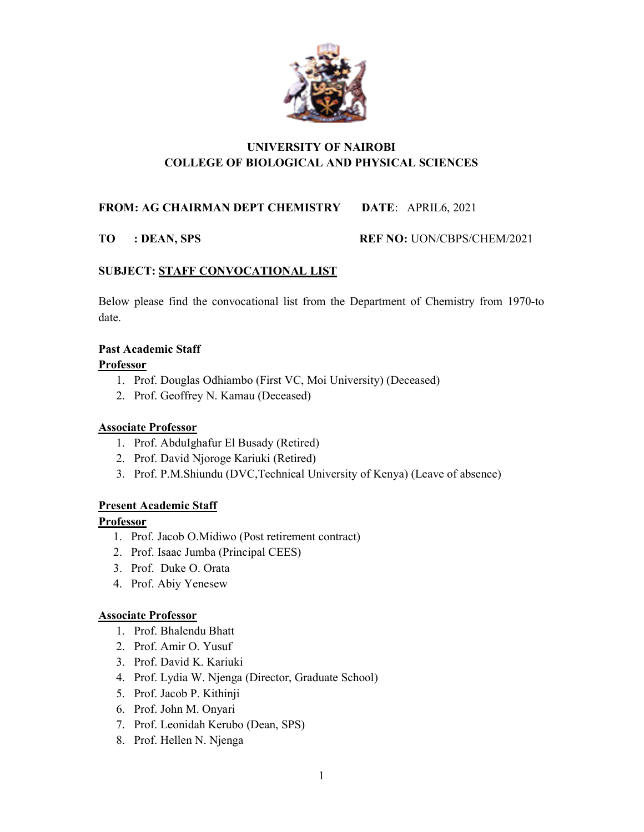

# UNIVERSITY OF NAIROBI COLLEGE OF BIOLOGICAL AND PHYSICAL SCIENCES

FROM: AG CHAIRMAN DEPT CHEMISTRY DATE: APRIL6, 2021

TO : DEAN, SPS REF NO: UON/CBPS/CHEM/2021

## SUBJECT: STAFF CONVOCATIONAL LIST

Below please find the convocational list from the Department of Chemistry from 1970-to date.

## Past Academic Staff

#### Professor

- 1. Prof. Douglas Odhiambo (First VC, Moi University) (Deceased)
- 2. Prof. Geoffrey N. Kamau (Deceased)

## Associate Professor

- 1. Prof. AbduIghafur El Busady (Retired)
- 2. Prof. David Njoroge Kariuki (Retired)
- 3. Prof. P.M.Shiundu (DVC,Technical University of Kenya) (Leave of absence)

## Present Academic Staff

## Professor

- 1. Prof. Jacob O.Midiwo (Post retirement contract)
- 2. Prof. Isaac Jumba (Principal CEES)
- 3. Prof. Duke O. Orata
- 4. Prof. Abiy Yenesew

## Associate Professor

- 1. Prof. Bhalendu Bhatt
- 2. Prof. Amir O. Yusuf
- 3. Prof. David K. Kariuki
- 4. Prof. Lydia W. Njenga (Director, Graduate School)
- 5. Prof. Jacob P. Kithinji
- 6. Prof. John M. Onyari
- 7. Prof. Leonidah Kerubo (Dean, SPS)
- 8. Prof. Hellen N. Njenga